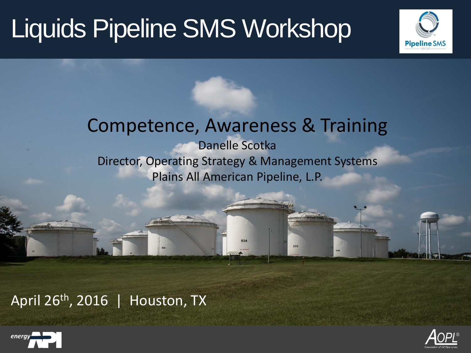

#### Competence, Awareness & Training Danelle Scotka Director, Operating Strategy & Management Systems Plains All American Pipeline, L.P.

534

535

April 26th, 2016 | Houston, TX



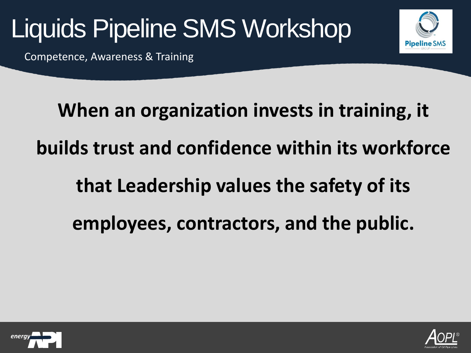

Competence, Awareness & Training



**When an organization invests in training, it builds trust and confidence within its workforce that Leadership values the safety of its employees, contractors, and the public.**



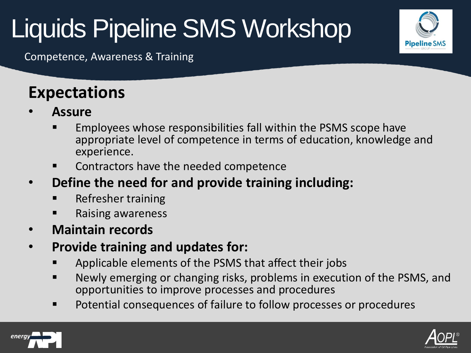**Pipeline SMS** 

Competence, Awareness & Training

#### **Expectations**

- **Assure**
	- Employees whose responsibilities fall within the PSMS scope have appropriate level of competence in terms of education, knowledge and experience.
	- Contractors have the needed competence
- **Define the need for and provide training including:**
	- Refresher training
	- Raising awareness
- **Maintain records**
- **Provide training and updates for:**
	- Applicable elements of the PSMS that affect their jobs
	- Newly emerging or changing risks, problems in execution of the PSMS, and opportunities to improve processes and procedures
	- **P** Potential consequences of failure to follow processes or procedures



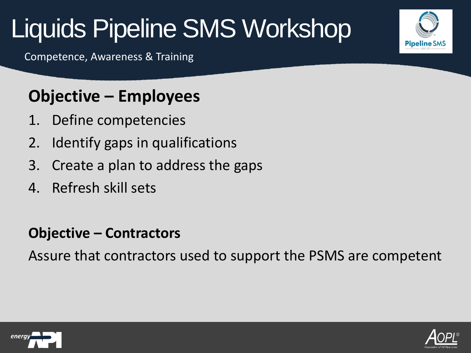Competence, Awareness & Training

#### **Objective – Employees**

- 1. Define competencies
- 2. Identify gaps in qualifications
- 3. Create a plan to address the gaps
- 4. Refresh skill sets

#### **Objective – Contractors**

Assure that contractors used to support the PSMS are competent